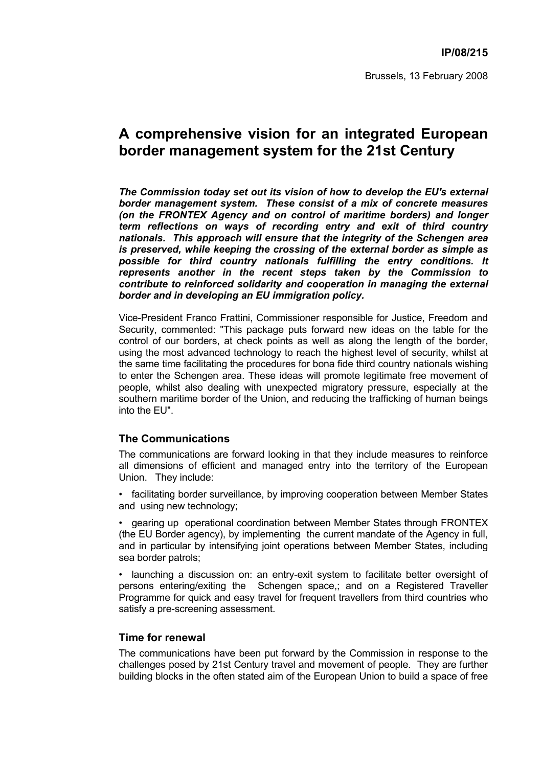## **A comprehensive vision for an integrated European border management system for the 21st Century**

*The Commission today set out its vision of how to develop the EU's external border management system. These consist of a mix of concrete measures (on the FRONTEX Agency and on control of maritime borders) and longer term reflections on ways of recording entry and exit of third country nationals. This approach will ensure that the integrity of the Schengen area is preserved, while keeping the crossing of the external border as simple as possible for third country nationals fulfilling the entry conditions. It represents another in the recent steps taken by the Commission to contribute to reinforced solidarity and cooperation in managing the external border and in developing an EU immigration policy.* 

Vice-President Franco Frattini, Commissioner responsible for Justice, Freedom and Security, commented: "This package puts forward new ideas on the table for the control of our borders, at check points as well as along the length of the border, using the most advanced technology to reach the highest level of security, whilst at the same time facilitating the procedures for bona fide third country nationals wishing to enter the Schengen area. These ideas will promote legitimate free movement of people, whilst also dealing with unexpected migratory pressure, especially at the southern maritime border of the Union, and reducing the trafficking of human beings into the EU".

## **The Communications**

The communications are forward looking in that they include measures to reinforce all dimensions of efficient and managed entry into the territory of the European Union. They include:

• facilitating border surveillance, by improving cooperation between Member States and using new technology;

• gearing up operational coordination between Member States through FRONTEX (the EU Border agency), by implementing the current mandate of the Agency in full, and in particular by intensifying joint operations between Member States, including sea border patrols;

• launching a discussion on: an entry-exit system to facilitate better oversight of persons entering/exiting the Schengen space,; and on a Registered Traveller Programme for quick and easy travel for frequent travellers from third countries who satisfy a pre-screening assessment.

## **Time for renewal**

The communications have been put forward by the Commission in response to the challenges posed by 21st Century travel and movement of people. They are further building blocks in the often stated aim of the European Union to build a space of free